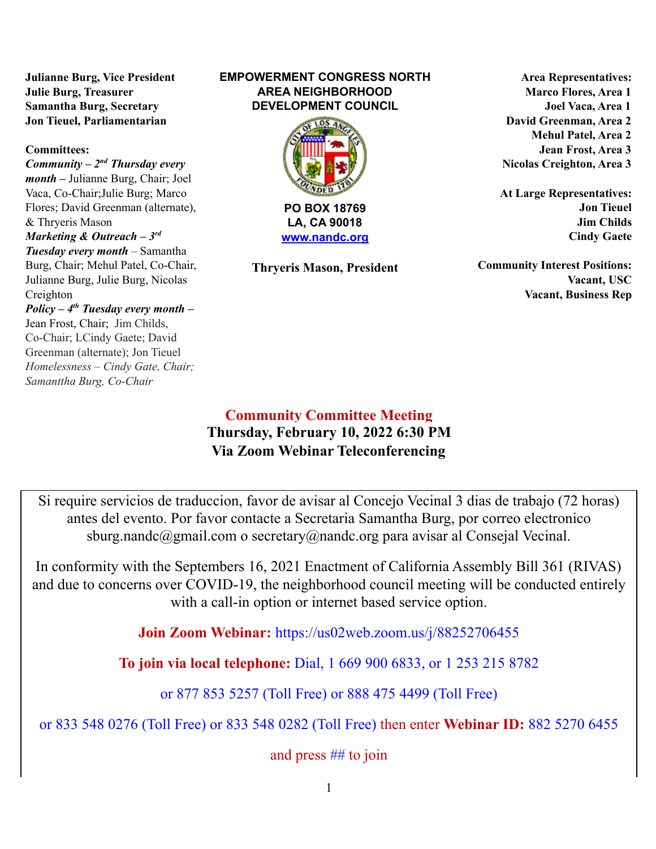**Julianne Burg, Vice President Julie Burg, Treasurer Samantha Burg, Secretary Jon Tieuel, Parliamentarian**

#### **Committees:**

*Community – 2nd Thursday every month –* Julianne Burg, Chair; Joel Vaca, Co-Chair;Julie Burg; Marco Flores; David Greenman (alternate), & Thryeris Mason *Marketing & Outreach – 3rd Tuesday every month –* Samantha Burg, Chair; Mehul Patel, Co-Chair, Julianne Burg, Julie Burg, Nicolas Creighton *Policy – 4th Tuesday every month –* Jean Frost, Chair; Jim Childs, Co-Chair; LCindy Gaete; David Greenman (alternate); Jon Tieuel

*Homelessness* – *Cindy Gate, Chair;*

*Samanttha Burg, Co-Chair*

#### **EMPOWERMENT CONGRESS NORTH AREA NEIGHBORHOOD DEVELOPMENT COUNCIL**



**PO BOX 18769 LA, CA 90018 www.nandc.org**

**Thryeris Mason, President**

**Area Representatives: Marco Flores, Area 1 Joel Vaca, Area 1 David Greenman, Area 2 Mehul Patel, Area 2 Jean Frost, Area 3 Nicolas Creighton, Area 3**

**At Large Representatives: Jon Tieuel Jim Childs Cindy Gaete**

**Community Interest Positions: Vacant, USC Vacant, Business Rep**

## **Community Committee Meeting Thursday, February 10, 2021 6:30 PM Thursday, February 10, 2022 6:30 PMVia Zoom Webinar Teleconferencing**

Si require servicios de traduccion, favor de avisar al Concejo Vecinal 3 dias de trabajo (72 horas) antes del evento. Por favor contacte a Secretaria Samantha Burg, por correo electronico sburg.nandc@gmail.com o secretary@nandc.org para avisar al Consejal Vecinal.

In conformity with the Septembers 16, 2021 Enactment of California Assembly Bill 361 (RIVAS) and due to concerns over COVID-19, the neighborhood council meeting will be conducted entirely with a call-in option or internet based service option.

**Join Zoom Webinar:** https://us02web.zoom.us/j/88252706455

**To join via local telephone:** Dial, 1 669 900 6833, or 1 253 215 8782

or 877 853 5257 (Toll Free) or 888 475 4499 (Toll Free)

or 833 548 0276 (Toll Free) or 833 548 0282 (Toll Free) then enter **Webinar ID:** 882 5270 6455

and press ## to join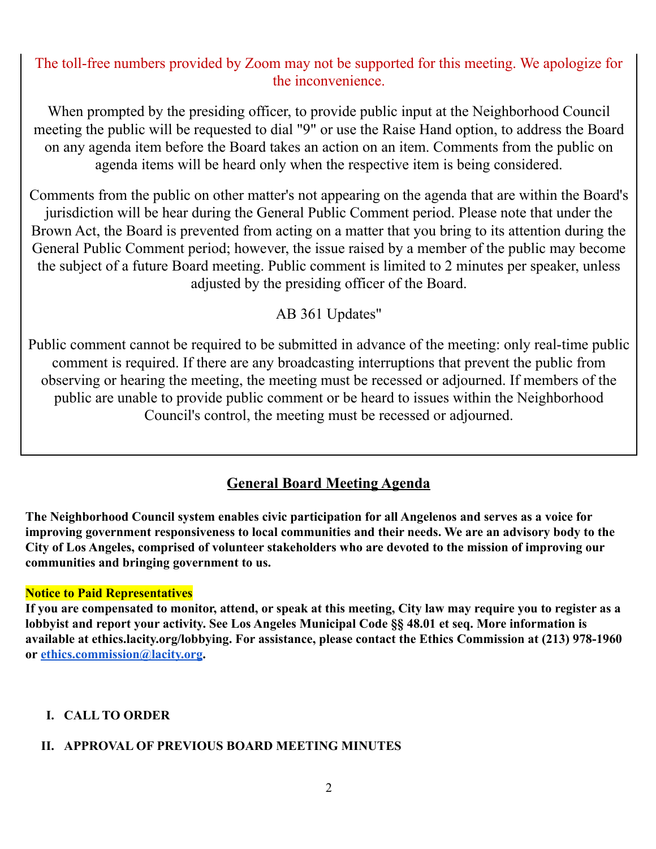# The toll-free numbers provided by Zoom may not be supported for this meeting. We apologize for the inconvenience.

When prompted by the presiding officer, to provide public input at the Neighborhood Council meeting the public will be requested to dial "9" or use the Raise Hand option, to address the Board on any agenda item before the Board takes an action on an item. Comments from the public on agenda items will be heard only when the respective item is being considered.

Comments from the public on other matter's not appearing on the agenda that are within the Board's jurisdiction will be hear during the General Public Comment period. Please note that under the Brown Act, the Board is prevented from acting on a matter that you bring to its attention during the General Public Comment period; however, the issue raised by a member of the public may become the subject of a future Board meeting. Public comment is limited to 2 minutes per speaker, unless adjusted by the presiding officer of the Board.

AB 361 Updates"

Public comment cannot be required to be submitted in advance of the meeting: only real-time public comment is required. If there are any broadcasting interruptions that prevent the public from observing or hearing the meeting, the meeting must be recessed or adjourned. If members of the public are unable to provide public comment or be heard to issues within the Neighborhood Council's control, the meeting must be recessed or adjourned.

# **General Board Meeting Agenda**

**The Neighborhood Council system enables civic participation for all Angelenos and serves as a voice for improving government responsiveness to local communities and their needs. We are an advisory body to the City of Los Angeles, comprised of volunteer stakeholders who are devoted to the mission of improving our communities and bringing government to us.**

## **Notice to Paid Representatives**

**If you are compensated to monitor, attend, or speak at this meeting, City law may require you to register as a lobbyist and report your activity. See Los Angeles Municipal Code §§ 48.01 et seq. More information is available at ethics.lacity.org/lobbying. For assistance, please contact the Ethics Commission at (213) 978-1960 or ethics.commission@lacity.org.**

## **I. CALL TO ORDER**

# **II. APPROVAL OF PREVIOUS BOARD MEETING MINUTES**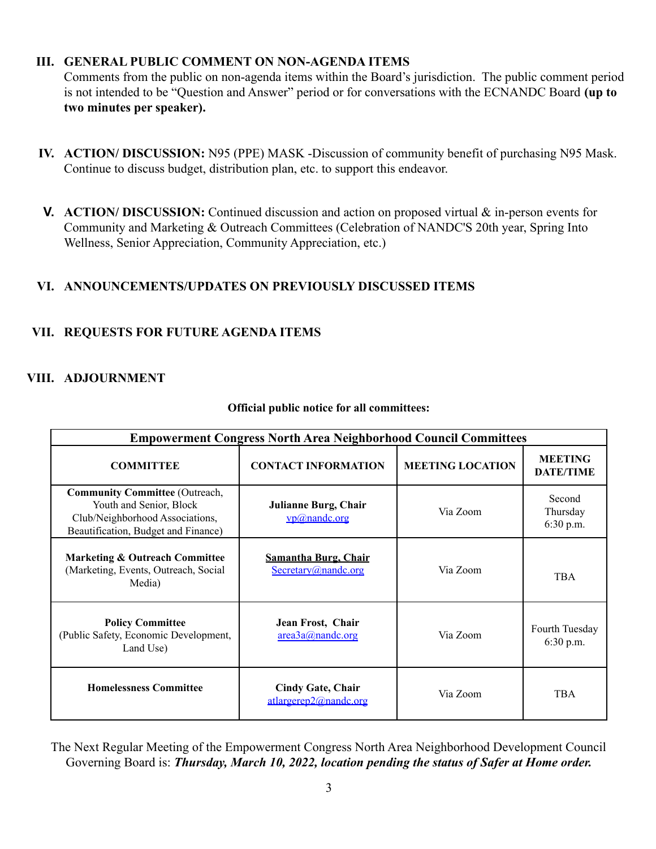#### **III. GENERAL PUBLIC COMMENT ON NON-AGENDA ITEMS**

Comments from the public on non-agenda items within the Board's jurisdiction. The public comment period is not intended to be "Question and Answer" period or for conversations with the ECNANDC Board **(up to two minutes per speaker).**

- **IV. ACTION/ DISCUSSION:** N95 (PPE) MASK -Discussion of community benefit of purchasing N95 Mask. Continue to discuss budget, distribution plan, etc. to support this endeavor.
- **V. ACTION/ DISCUSSION:** Continued discussion and action on proposed virtual & in-person events for Community and Marketing & Outreach Committees (Celebration of NANDC'S 20th year, Spring Into Wellness, Senior Appreciation, Community Appreciation, etc.)

#### **VI. ANNOUNCEMENTS/UPDATES ON PREVIOUSLY DISCUSSED ITEMS**

#### **VII. REQUESTS FOR FUTURE AGENDA ITEMS**

#### **VIII. ADJOURNMENT**

| <b>Empowerment Congress North Area Neighborhood Council Committees</b>                                                                     |                                                    |                         |                                    |
|--------------------------------------------------------------------------------------------------------------------------------------------|----------------------------------------------------|-------------------------|------------------------------------|
| <b>COMMITTEE</b>                                                                                                                           | <b>CONTACT INFORMATION</b>                         | <b>MEETING LOCATION</b> | <b>MEETING</b><br><b>DATE/TIME</b> |
| <b>Community Committee (Outreach,</b><br>Youth and Senior, Block<br>Club/Neighborhood Associations,<br>Beautification, Budget and Finance) | Julianne Burg, Chair<br>vp@nandc.org               | Via Zoom                | Second<br>Thursday<br>$6:30$ p.m.  |
| <b>Marketing &amp; Outreach Committee</b><br>(Marketing, Events, Outreach, Social)<br>Media)                                               | <b>Samantha Burg, Chair</b><br>Secretary@nandc.org | Via Zoom                | <b>TBA</b>                         |
| <b>Policy Committee</b><br>(Public Safety, Economic Development,<br>Land Use)                                                              | Jean Frost, Chair<br>area3a@nande.org              | Via Zoom                | Fourth Tuesday<br>$6:30$ p.m.      |
| <b>Homelessness Committee</b>                                                                                                              | <b>Cindy Gate, Chair</b><br>atlargerep2@nandc.org  | Via Zoom                | <b>TBA</b>                         |

#### **Official public notice for all committees:**

The Next Regular Meeting of the Empowerment Congress North Area Neighborhood Development Council Governing Board is: *Thursday, March 10, 2022, location pending the status of Safer at Home order.*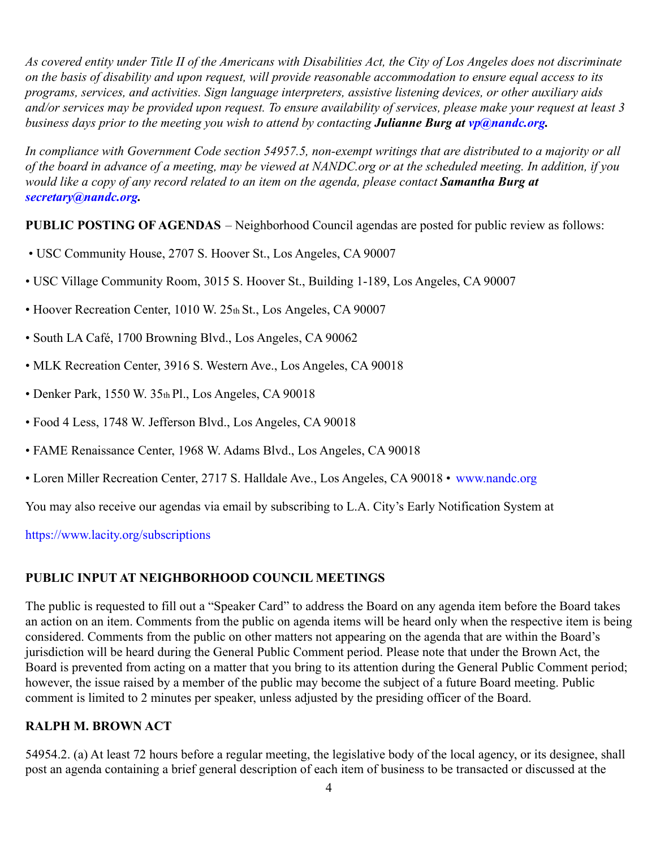*As covered entity under Title II of the Americans with Disabilities Act, the City of Los Angeles does not discriminate on the basis of disability and upon request, will provide reasonable accommodation to ensure equal access to its programs, services, and activities. Sign language interpreters, assistive listening devices, or other auxiliary aids and/or services may be provided upon request. To ensure availability of services, please make your request at least 3 business days prior to the meeting you wish to attend by contacting Julianne Burg at vp@nandc.org.*

*In compliance with Government Code section 54957.5, non-exempt writings that are distributed to a majority or all of the board in advance of a meeting, may be viewed at NANDC.org or at the scheduled meeting. In addition, if you would like a copy of any record related to an item on the agenda, please contact Samantha Burg at secretary@nandc.org.*

#### **PUBLIC POSTING OF AGENDAS** – Neighborhood Council agendas are posted for public review as follows:

- USC Community House, 2707 S. Hoover St., Los Angeles, CA 90007
- USC Village Community Room, 3015 S. Hoover St., Building 1-189, Los Angeles, CA 90007
- Hoover Recreation Center, 1010 W. 25th St., Los Angeles, CA 90007
- South LA Café, 1700 Browning Blvd., Los Angeles, CA 90062
- MLK Recreation Center, 3916 S. Western Ave., Los Angeles, CA 90018
- Denker Park, 1550 W. 35th Pl., Los Angeles, CA 90018
- Food 4 Less, 1748 W. Jefferson Blvd., Los Angeles, CA 90018
- FAME Renaissance Center, 1968 W. Adams Blvd., Los Angeles, CA 90018
- Loren Miller Recreation Center, 2717 S. Halldale Ave., Los Angeles, CA 90018 www.nandc.org

You may also receive our agendas via email by subscribing to L.A. City's Early Notification System at

https://www.lacity.org/subscriptions

#### **PUBLIC INPUT AT NEIGHBORHOOD COUNCIL MEETINGS**

The public is requested to fill out a "Speaker Card" to address the Board on any agenda item before the Board takes an action on an item. Comments from the public on agenda items will be heard only when the respective item is being considered. Comments from the public on other matters not appearing on the agenda that are within the Board's jurisdiction will be heard during the General Public Comment period. Please note that under the Brown Act, the Board is prevented from acting on a matter that you bring to its attention during the General Public Comment period; however, the issue raised by a member of the public may become the subject of a future Board meeting. Public comment is limited to 2 minutes per speaker, unless adjusted by the presiding officer of the Board.

#### **RALPH M. BROWN ACT**

54954.2. (a) At least 72 hours before a regular meeting, the legislative body of the local agency, or its designee, shall post an agenda containing a brief general description of each item of business to be transacted or discussed at the